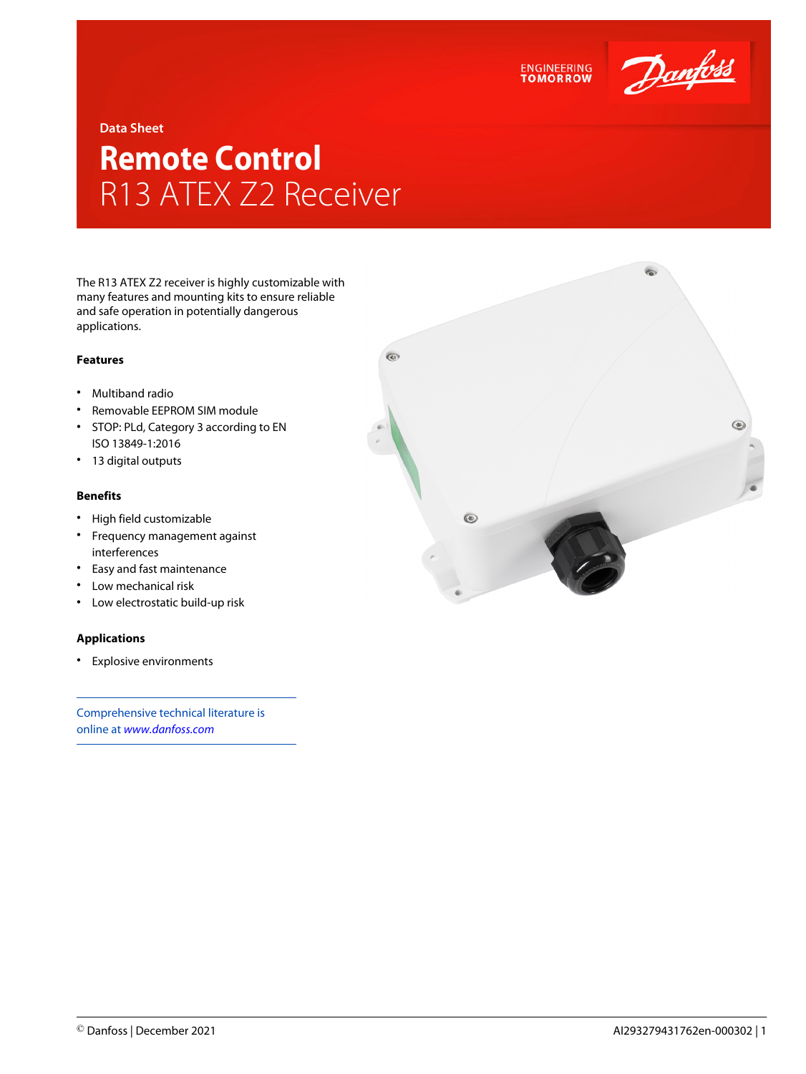

**Data Sheet**

# **Remote Control** R13 ATEX Z2 Receiver

The R13 ATEX Z2 receiver is highly customizable with many features and mounting kits to ensure reliable and safe operation in potentially dangerous applications.

### **Features**

- Multiband radio
- Removable EEPROM SIM module
- STOP: PLd, Category 3 according to EN ISO 13849-1:2016
- 13 digital outputs

### **Benefits**

- High field customizable
- Frequency management against interferences
- Easy and fast maintenance
- Low mechanical risk
- Low electrostatic build-up risk

## **Applications**

• Explosive environments

Comprehensive technical literature is online at *[www.danfoss.com](https://www.danfoss.com/en/search/?filter=type%3Adocumentation%2Csegment%3Adps)*



**ENGINEERING**<br>TOMORROW